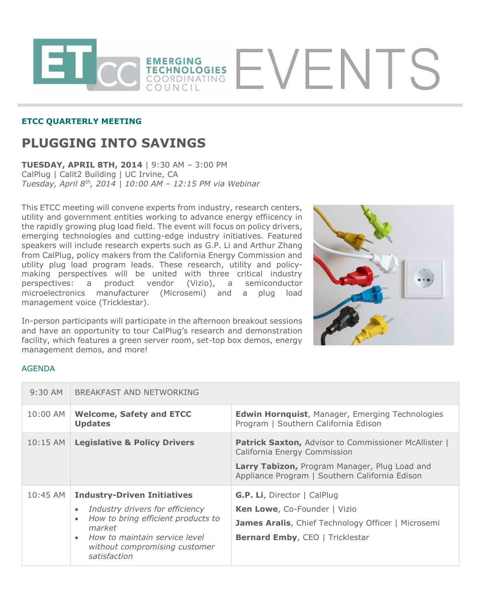

## **ETCC QUARTERLY MEETING**

## **PLUGGING INTO SAVINGS**

**TUESDAY, APRIL 8TH, 2014** | 9:30 AM – 3:00 PM CalPlug | Calit2 Building | UC Irvine, CA *Tuesday, April 8th, 2014 | 10:00 AM – 12:15 PM via Webinar*

This ETCC meeting will convene experts from industry, research centers, utility and government entities working to advance energy effiicency in the rapidly growing plug load field. The event will focus on policy drivers, emerging technologies and cutting-edge industry initiatives. Featured speakers will include research experts such as G.P. Li and Arthur Zhang from CalPlug, policy makers from the California Energy Commission and utility plug load program leads. These research, utility and policymaking perspectives will be united with three critical industry perspectives: a product vendor (Vizio), a semiconductor microelectronics manufacturer (Microsemi) and a plug load management voice (Tricklestar).

In-person participants will participate in the afternoon breakout sessions and have an opportunity to tour CalPlug's research and demonstration facility, which features a green server room, set-top box demos, energy management demos, and more!



## AGENDA

| $9:30$ AM  | BREAKFAST AND NETWORKING                                                                                                                                                                                                                       |                                                                                                                                                                                         |
|------------|------------------------------------------------------------------------------------------------------------------------------------------------------------------------------------------------------------------------------------------------|-----------------------------------------------------------------------------------------------------------------------------------------------------------------------------------------|
| 10:00 AM   | <b>Welcome, Safety and ETCC</b><br><b>Updates</b>                                                                                                                                                                                              | <b>Edwin Hornquist, Manager, Emerging Technologies</b><br>Program   Southern California Edison                                                                                          |
| $10:15$ AM | <b>Legislative &amp; Policy Drivers</b>                                                                                                                                                                                                        | Patrick Saxton, Advisor to Commissioner McAllister  <br>California Energy Commission<br>Larry Tabizon, Program Manager, Plug Load and<br>Appliance Program   Southern California Edison |
| 10:45 AM   | <b>Industry-Driven Initiatives</b><br>Industry drivers for efficiency<br>$\bullet$<br>How to bring efficient products to<br>$\bullet$<br>market<br>How to maintain service level<br>$\bullet$<br>without compromising customer<br>satisfaction | <b>G.P. Li</b> , Director   CalPlug<br>Ken Lowe, Co-Founder   Vizio<br><b>James Aralis, Chief Technology Officer   Microsemi</b><br><b>Bernard Emby, CEO   Tricklestar</b>              |